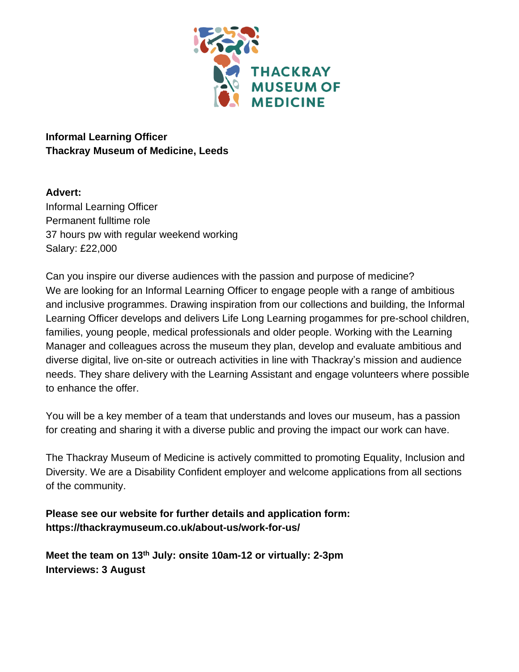

## **Informal Learning Officer Thackray Museum of Medicine, Leeds**

## **Advert:**

Informal Learning Officer Permanent fulltime role 37 hours pw with regular weekend working Salary: £22,000

Can you inspire our diverse audiences with the passion and purpose of medicine? We are looking for an Informal Learning Officer to engage people with a range of ambitious and inclusive programmes. Drawing inspiration from our collections and building, the Informal Learning Officer develops and delivers Life Long Learning progammes for pre-school children, families, young people, medical professionals and older people. Working with the Learning Manager and colleagues across the museum they plan, develop and evaluate ambitious and diverse digital, live on-site or outreach activities in line with Thackray's mission and audience needs. They share delivery with the Learning Assistant and engage volunteers where possible to enhance the offer.

You will be a key member of a team that understands and loves our museum, has a passion for creating and sharing it with a diverse public and proving the impact our work can have.

The Thackray Museum of Medicine is actively committed to promoting Equality, Inclusion and Diversity. We are a Disability Confident employer and welcome applications from all sections of the community.

**Please see our website for further details and application form: https://thackraymuseum.co.uk/about-us/work-for-us/**

**Meet the team on 13th July: onsite 10am-12 or virtually: 2-3pm Interviews: 3 August**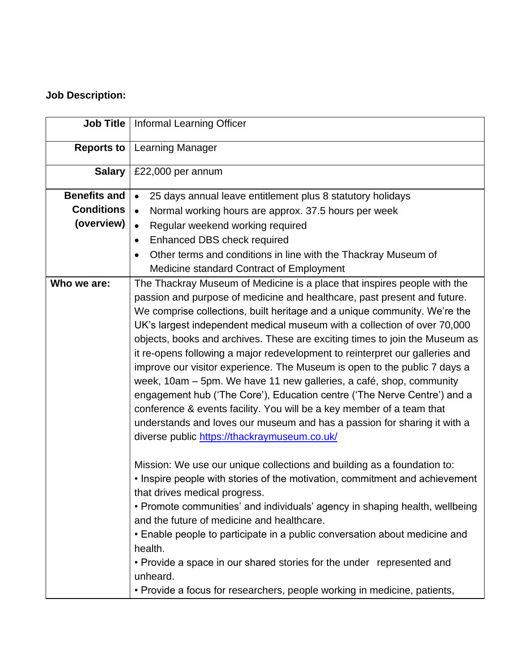# **Job Description:**

| <b>Job Title</b>    | Informal Learning Officer                                                                                                                                                                                                                                                                                                                                                                                                                                                                                                                                                                                                                                                                                                                                                                                                                                                                                         |
|---------------------|-------------------------------------------------------------------------------------------------------------------------------------------------------------------------------------------------------------------------------------------------------------------------------------------------------------------------------------------------------------------------------------------------------------------------------------------------------------------------------------------------------------------------------------------------------------------------------------------------------------------------------------------------------------------------------------------------------------------------------------------------------------------------------------------------------------------------------------------------------------------------------------------------------------------|
| <b>Reports to</b>   | Learning Manager                                                                                                                                                                                                                                                                                                                                                                                                                                                                                                                                                                                                                                                                                                                                                                                                                                                                                                  |
| <b>Salary</b>       | £22,000 per annum                                                                                                                                                                                                                                                                                                                                                                                                                                                                                                                                                                                                                                                                                                                                                                                                                                                                                                 |
| <b>Benefits and</b> | 25 days annual leave entitlement plus 8 statutory holidays<br>$\bullet$                                                                                                                                                                                                                                                                                                                                                                                                                                                                                                                                                                                                                                                                                                                                                                                                                                           |
| <b>Conditions</b>   | Normal working hours are approx. 37.5 hours per week<br>$\bullet$                                                                                                                                                                                                                                                                                                                                                                                                                                                                                                                                                                                                                                                                                                                                                                                                                                                 |
| (overview)          | Regular weekend working required<br>$\bullet$                                                                                                                                                                                                                                                                                                                                                                                                                                                                                                                                                                                                                                                                                                                                                                                                                                                                     |
|                     | Enhanced DBS check required<br>$\bullet$                                                                                                                                                                                                                                                                                                                                                                                                                                                                                                                                                                                                                                                                                                                                                                                                                                                                          |
|                     | Other terms and conditions in line with the Thackray Museum of<br>$\bullet$                                                                                                                                                                                                                                                                                                                                                                                                                                                                                                                                                                                                                                                                                                                                                                                                                                       |
|                     | Medicine standard Contract of Employment                                                                                                                                                                                                                                                                                                                                                                                                                                                                                                                                                                                                                                                                                                                                                                                                                                                                          |
| Who we are:         | The Thackray Museum of Medicine is a place that inspires people with the<br>passion and purpose of medicine and healthcare, past present and future.<br>We comprise collections, built heritage and a unique community. We're the<br>UK's largest independent medical museum with a collection of over 70,000<br>objects, books and archives. These are exciting times to join the Museum as<br>it re-opens following a major redevelopment to reinterpret our galleries and<br>improve our visitor experience. The Museum is open to the public 7 days a<br>week, 10am - 5pm. We have 11 new galleries, a café, shop, community<br>engagement hub ('The Core'), Education centre ('The Nerve Centre') and a<br>conference & events facility. You will be a key member of a team that<br>understands and loves our museum and has a passion for sharing it with a<br>diverse public https://thackraymuseum.co.uk/ |
|                     | Mission: We use our unique collections and building as a foundation to:<br>• Inspire people with stories of the motivation, commitment and achievement<br>that drives medical progress.<br>• Promote communities' and individuals' agency in shaping health, wellbeing<br>and the future of medicine and healthcare.<br>• Enable people to participate in a public conversation about medicine and<br>health.<br>• Provide a space in our shared stories for the under represented and<br>unheard.<br>• Provide a focus for researchers, people working in medicine, patients,                                                                                                                                                                                                                                                                                                                                    |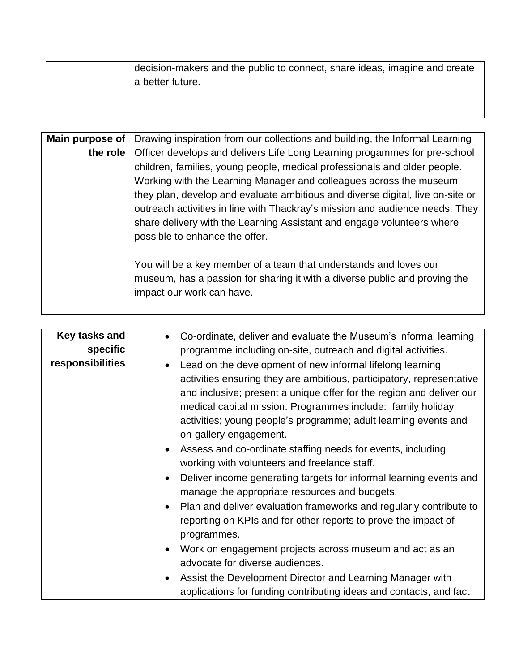| decision-makers and the public to connect, share ideas, imagine and create<br>a better future. |
|------------------------------------------------------------------------------------------------|
|                                                                                                |

| Main purpose of | Drawing inspiration from our collections and building, the Informal Learning   |  |  |  |  |  |  |  |  |
|-----------------|--------------------------------------------------------------------------------|--|--|--|--|--|--|--|--|
| the role        | Officer develops and delivers Life Long Learning progammes for pre-school      |  |  |  |  |  |  |  |  |
|                 | children, families, young people, medical professionals and older people.      |  |  |  |  |  |  |  |  |
|                 | Working with the Learning Manager and colleagues across the museum             |  |  |  |  |  |  |  |  |
|                 | they plan, develop and evaluate ambitious and diverse digital, live on-site or |  |  |  |  |  |  |  |  |
|                 | outreach activities in line with Thackray's mission and audience needs. They   |  |  |  |  |  |  |  |  |
|                 | share delivery with the Learning Assistant and engage volunteers where         |  |  |  |  |  |  |  |  |
|                 | possible to enhance the offer.                                                 |  |  |  |  |  |  |  |  |
|                 |                                                                                |  |  |  |  |  |  |  |  |
|                 | You will be a key member of a team that understands and loves our              |  |  |  |  |  |  |  |  |
|                 | museum, has a passion for sharing it with a diverse public and proving the     |  |  |  |  |  |  |  |  |
|                 | impact our work can have.                                                      |  |  |  |  |  |  |  |  |

| Key tasks and    | Co-ordinate, deliver and evaluate the Museum's informal learning                |
|------------------|---------------------------------------------------------------------------------|
| specific         | programme including on-site, outreach and digital activities.                   |
| responsibilities | Lead on the development of new informal lifelong learning<br>$\bullet$          |
|                  | activities ensuring they are ambitious, participatory, representative           |
|                  | and inclusive; present a unique offer for the region and deliver our            |
|                  | medical capital mission. Programmes include: family holiday                     |
|                  | activities; young people's programme; adult learning events and                 |
|                  | on-gallery engagement.                                                          |
|                  | • Assess and co-ordinate staffing needs for events, including                   |
|                  | working with volunteers and freelance staff.                                    |
|                  | Deliver income generating targets for informal learning events and<br>$\bullet$ |
|                  | manage the appropriate resources and budgets.                                   |
|                  | • Plan and deliver evaluation frameworks and regularly contribute to            |
|                  | reporting on KPIs and for other reports to prove the impact of                  |
|                  | programmes.                                                                     |
|                  | Work on engagement projects across museum and act as an<br>$\bullet$            |
|                  | advocate for diverse audiences.                                                 |
|                  |                                                                                 |
|                  | Assist the Development Director and Learning Manager with<br>$\bullet$          |
|                  | applications for funding contributing ideas and contacts, and fact              |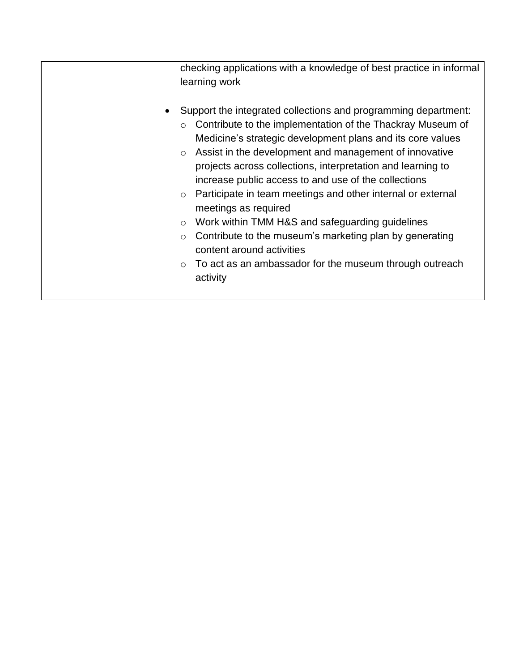| checking applications with a knowledge of best practice in informal<br>learning work                                                                                                                                                                                                                                                                                                                                                                                                                                                                                                                                                                                                                                                                   |
|--------------------------------------------------------------------------------------------------------------------------------------------------------------------------------------------------------------------------------------------------------------------------------------------------------------------------------------------------------------------------------------------------------------------------------------------------------------------------------------------------------------------------------------------------------------------------------------------------------------------------------------------------------------------------------------------------------------------------------------------------------|
| Support the integrated collections and programming department:<br>Contribute to the implementation of the Thackray Museum of<br>$\circ$<br>Medicine's strategic development plans and its core values<br>Assist in the development and management of innovative<br>$\circ$<br>projects across collections, interpretation and learning to<br>increase public access to and use of the collections<br>Participate in team meetings and other internal or external<br>$\circ$<br>meetings as required<br>Work within TMM H&S and safeguarding guidelines<br>$\circ$<br>Contribute to the museum's marketing plan by generating<br>$\circ$<br>content around activities<br>To act as an ambassador for the museum through outreach<br>$\circ$<br>activity |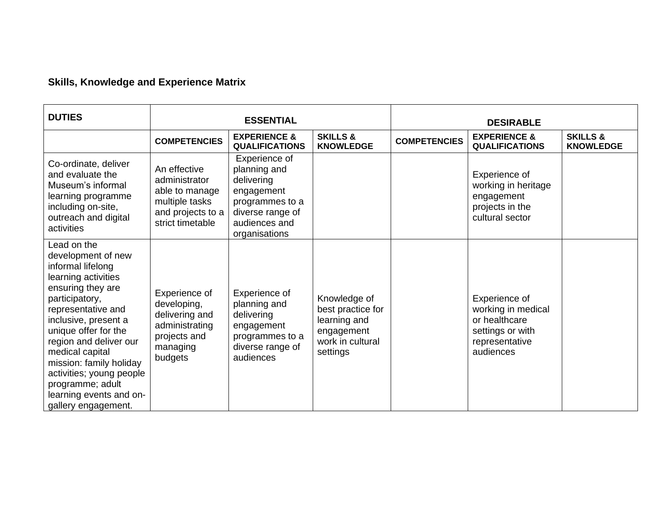# **Skills, Knowledge and Experience Matrix**

| <b>DUTIES</b>                                                                                                                                                                                                                                                                                                                                                        | <b>ESSENTIAL</b>                                                                                           |                                                                                                                                    |                                                                                                 | <b>DESIRABLE</b>    |                                                                                                         |                                         |
|----------------------------------------------------------------------------------------------------------------------------------------------------------------------------------------------------------------------------------------------------------------------------------------------------------------------------------------------------------------------|------------------------------------------------------------------------------------------------------------|------------------------------------------------------------------------------------------------------------------------------------|-------------------------------------------------------------------------------------------------|---------------------|---------------------------------------------------------------------------------------------------------|-----------------------------------------|
|                                                                                                                                                                                                                                                                                                                                                                      | <b>COMPETENCIES</b>                                                                                        | <b>EXPERIENCE &amp;</b><br><b>QUALIFICATIONS</b>                                                                                   | <b>SKILLS &amp;</b><br><b>KNOWLEDGE</b>                                                         | <b>COMPETENCIES</b> | <b>EXPERIENCE &amp;</b><br><b>QUALIFICATIONS</b>                                                        | <b>SKILLS &amp;</b><br><b>KNOWLEDGE</b> |
| Co-ordinate, deliver<br>and evaluate the<br>Museum's informal<br>learning programme<br>including on-site,<br>outreach and digital<br>activities                                                                                                                                                                                                                      | An effective<br>administrator<br>able to manage<br>multiple tasks<br>and projects to a<br>strict timetable | Experience of<br>planning and<br>delivering<br>engagement<br>programmes to a<br>diverse range of<br>audiences and<br>organisations |                                                                                                 |                     | Experience of<br>working in heritage<br>engagement<br>projects in the<br>cultural sector                |                                         |
| Lead on the<br>development of new<br>informal lifelong<br>learning activities<br>ensuring they are<br>participatory,<br>representative and<br>inclusive, present a<br>unique offer for the<br>region and deliver our<br>medical capital<br>mission: family holiday<br>activities; young people<br>programme; adult<br>learning events and on-<br>gallery engagement. | Experience of<br>developing,<br>delivering and<br>administrating<br>projects and<br>managing<br>budgets    | Experience of<br>planning and<br>delivering<br>engagement<br>programmes to a<br>diverse range of<br>audiences                      | Knowledge of<br>best practice for<br>learning and<br>engagement<br>work in cultural<br>settings |                     | Experience of<br>working in medical<br>or healthcare<br>settings or with<br>representative<br>audiences |                                         |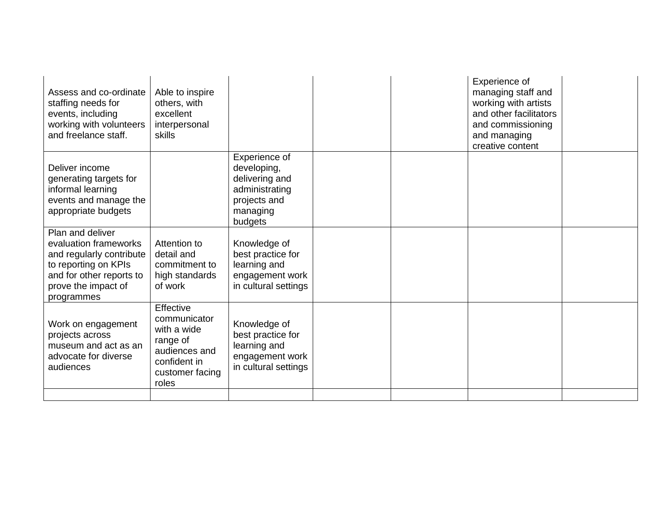| Assess and co-ordinate<br>staffing needs for<br>events, including<br>working with volunteers<br>and freelance staff.                                           | Able to inspire<br>others, with<br>excellent<br>interpersonal<br>skills                                           |                                                                                                         |  | Experience of<br>managing staff and<br>working with artists<br>and other facilitators<br>and commissioning<br>and managing<br>creative content |  |
|----------------------------------------------------------------------------------------------------------------------------------------------------------------|-------------------------------------------------------------------------------------------------------------------|---------------------------------------------------------------------------------------------------------|--|------------------------------------------------------------------------------------------------------------------------------------------------|--|
| Deliver income<br>generating targets for<br>informal learning<br>events and manage the<br>appropriate budgets                                                  |                                                                                                                   | Experience of<br>developing,<br>delivering and<br>administrating<br>projects and<br>managing<br>budgets |  |                                                                                                                                                |  |
| Plan and deliver<br>evaluation frameworks<br>and regularly contribute<br>to reporting on KPIs<br>and for other reports to<br>prove the impact of<br>programmes | Attention to<br>detail and<br>commitment to<br>high standards<br>of work                                          | Knowledge of<br>best practice for<br>learning and<br>engagement work<br>in cultural settings            |  |                                                                                                                                                |  |
| Work on engagement<br>projects across<br>museum and act as an<br>advocate for diverse<br>audiences                                                             | Effective<br>communicator<br>with a wide<br>range of<br>audiences and<br>confident in<br>customer facing<br>roles | Knowledge of<br>best practice for<br>learning and<br>engagement work<br>in cultural settings            |  |                                                                                                                                                |  |
|                                                                                                                                                                |                                                                                                                   |                                                                                                         |  |                                                                                                                                                |  |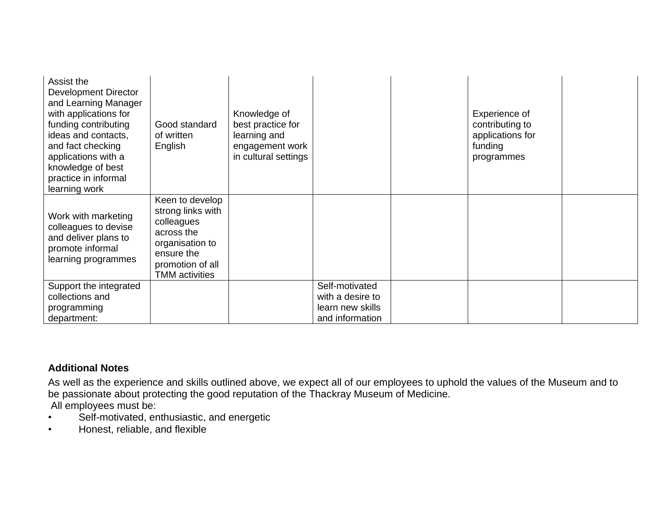| Assist the<br>Development Director<br>and Learning Manager<br>with applications for<br>funding contributing<br>ideas and contacts,<br>and fact checking<br>applications with a<br>knowledge of best<br>practice in informal<br>learning work | Good standard<br>of written<br>English                                                                                                         | Knowledge of<br>best practice for<br>learning and<br>engagement work<br>in cultural settings |                                                                           | Experience of<br>contributing to<br>applications for<br>funding<br>programmes |  |
|----------------------------------------------------------------------------------------------------------------------------------------------------------------------------------------------------------------------------------------------|------------------------------------------------------------------------------------------------------------------------------------------------|----------------------------------------------------------------------------------------------|---------------------------------------------------------------------------|-------------------------------------------------------------------------------|--|
| Work with marketing<br>colleagues to devise<br>and deliver plans to<br>promote informal<br>learning programmes                                                                                                                               | Keen to develop<br>strong links with<br>colleagues<br>across the<br>organisation to<br>ensure the<br>promotion of all<br><b>TMM</b> activities |                                                                                              |                                                                           |                                                                               |  |
| Support the integrated<br>collections and<br>programming<br>department:                                                                                                                                                                      |                                                                                                                                                |                                                                                              | Self-motivated<br>with a desire to<br>learn new skills<br>and information |                                                                               |  |

#### **Additional Notes**

As well as the experience and skills outlined above, we expect all of our employees to uphold the values of the Museum and to be passionate about protecting the good reputation of the Thackray Museum of Medicine. All employees must be:

- Self-motivated, enthusiastic, and energetic
- Honest, reliable, and flexible